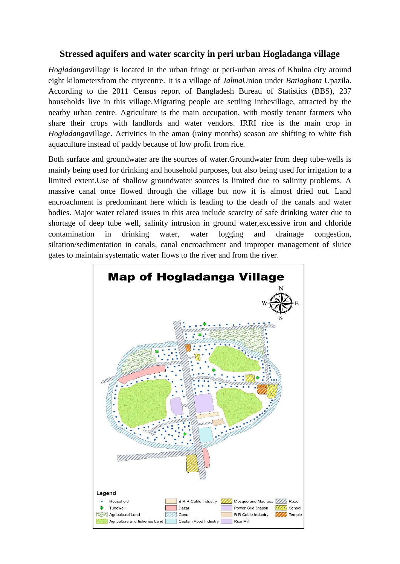## **Stressed aquifers and water scarcity in peri urban Hogladanga village**

*Hogladanga*village is located in the urban fringe or peri-urban areas of Khulna city around eight kilometersfrom the citycentre. It is a village of *Jalma*Union under *Batiaghata* Upazila. According to the 2011 Census report of Bangladesh Bureau of Statistics (BBS), 237 households live in this village.Migrating people are settling inthevillage, attracted by the nearby urban centre. Agriculture is the main occupation, with mostly tenant farmers who share their crops with landlords and water vendors. IRRI rice is the main crop in *Hogladanga*village. Activities in the aman (rainy months) season are shifting to white fish aquaculture instead of paddy because of low profit from rice.

Both surface and groundwater are the sources of water.Groundwater from deep tube-wells is mainly being used for drinking and household purposes, but also being used for irrigation to a limited extent.Use of shallow groundwater sources is limited due to salinity problems. A massive canal once flowed through the village but now it is almost dried out. Land encroachment is predominant here which is leading to the death of the canals and water bodies. Major water related issues in this area include scarcity of safe drinking water due to shortage of deep tube well, salinity intrusion in ground water,excessive iron and chloride contamination in drinking water, water logging and drainage congestion, siltation/sedimentation in canals, canal encroachment and improper management of sluice gates to maintain systematic water flows to the river and from the river.